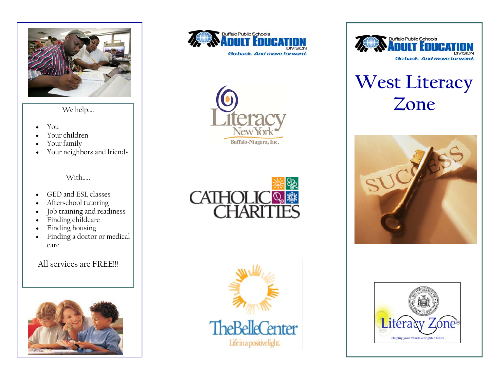

- $\bullet$ You
- $\bullet$ Your children
- $\bullet$ Your family
- $\bullet$ Your neighbors and friends

With…..

- $\bullet$ GED and ESL classes
- $\bullet$ Afterschool tutoring
- $\bullet$ Job training and readiness
- $\bullet$ Finding childcare
- $\bullet$ Finding housing
- $\bullet$  Finding a doctor or medical care

### All services are FREE!!!













# **West Literacy**